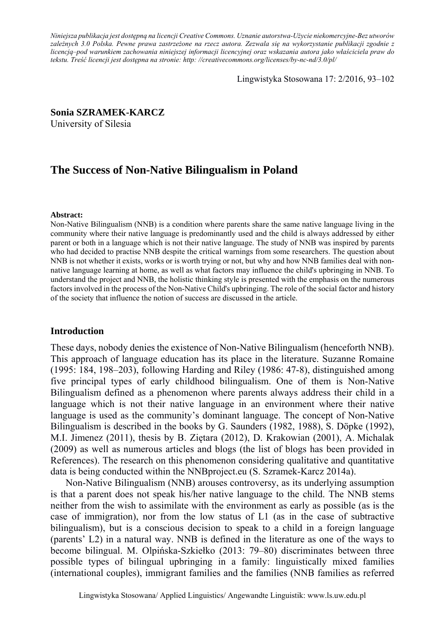*Niniejsza publikacja jest dostępną na licencji Creative Commons. Uznanie autorstwa-Użycie niekomercyjne-Bez utworów zależnych 3.0 Polska. Pewne prawa zastrzeżone na rzecz autora. Zezwala się na wykorzystanie publikacji zgodnie z licencją–pod warunkiem zachowania niniejszej informacji licencyjnej oraz wskazania autora jako właściciela praw do tekstu. Treść licencji jest dostępna na stronie: http: //creativecommons.org/licenses/by-nc-nd/3.0/pl/*

Lingwistyka Stosowana 17: 2/2016, 93–102

### **Sonia SZRAMEK-KARCZ**

University of Silesia

# **The Success of Non-Native Bilingualism in Poland**

#### **Abstract:**

Non-Native Bilingualism (NNB) is a condition where parents share the same native language living in the community where their native language is predominantly used and the child is always addressed by either parent or both in a language which is not their native language. The study of NNB was inspired by parents who had decided to practise NNB despite the critical warnings from some researchers. The question about NNB is not whether it exists, works or is worth trying or not, but why and how NNB families deal with nonnative language learning at home, as well as what factors may influence the child's upbringing in NNB. To understand the project and NNB, the holistic thinking style is presented with the emphasis on the numerous factors involved in the process of the Non-Native Child's upbringing. The role of the social factor and history of the society that influence the notion of success are discussed in the article.

### **Introduction**

These days, nobody denies the existence of Non-Native Bilingualism (henceforth NNB). This approach of language education has its place in the literature. Suzanne Romaine (1995: 184, 198–203), following Harding and Riley (1986: 47-8), distinguished among five principal types of early childhood bilingualism. One of them is Non-Native Bilingualism defined as a phenomenon where parents always address their child in a language which is not their native language in an environment where their native language is used as the community's dominant language. The concept of Non-Native Bilingualism is described in the books by G. Saunders (1982, 1988), S. Döpke (1992), M.I. Jimenez (2011), thesis by B. Ziętara (2012), D. Krakowian (2001), A. Michalak (2009) as well as numerous articles and blogs (the list of blogs has been provided in References). The research on this phenomenon considering qualitative and quantitative data is being conducted within the NNBproject.eu (S. Szramek-Karcz 2014a).

Non-Native Bilingualism (NNB) arouses controversy, as its underlying assumption is that a parent does not speak his/her native language to the child. The NNB stems neither from the wish to assimilate with the environment as early as possible (as is the case of immigration), nor from the low status of L1 (as in the case of subtractive bilingualism), but is a conscious decision to speak to a child in a foreign language (parents' L2) in a natural way. NNB is defined in the literature as one of the ways to become bilingual. M. Olpińska-Szkiełko (2013: 79–80) discriminates between three possible types of bilingual upbringing in a family: linguistically mixed families (international couples), immigrant families and the families (NNB families as referred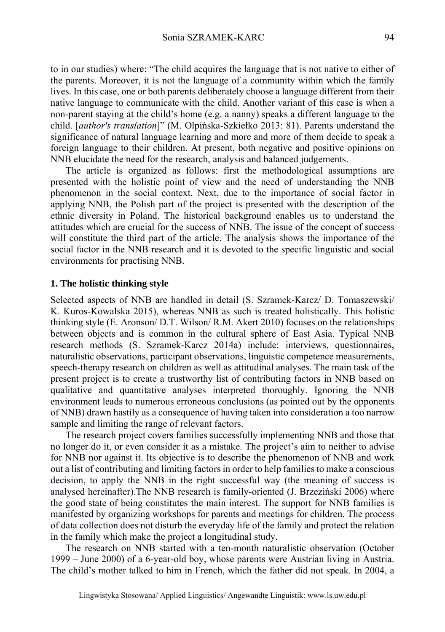to in our studies) where: "The child acquires the language that is not native to either of the parents. Moreover, it is not the language of a community within which the family lives. In this case, one or both parents deliberately choose a language different from their native language to communicate with the child. Another variant of this case is when a non-parent staying at the child's home (e.g. a nanny) speaks a different language to the child. [*author's translation*]" (M. Olpińska-Szkiełko 2013: 81). Parents understand the significance of natural language learning and more and more of them decide to speak a foreign language to their children. At present, both negative and positive opinions on NNB elucidate the need for the research, analysis and balanced judgements.

The article is organized as follows: first the methodological assumptions are presented with the holistic point of view and the need of understanding the NNB phenomenon in the social context. Next, due to the importance of social factor in applying NNB, the Polish part of the project is presented with the description of the ethnic diversity in Poland. The historical background enables us to understand the attitudes which are crucial for the success of NNB. The issue of the concept of success will constitute the third part of the article. The analysis shows the importance of the social factor in the NNB research and it is devoted to the specific linguistic and social environments for practising NNB.

#### **1. The holistic thinking style**

Selected aspects of NNB are handled in detail (S. Szramek-Karcz/ D. Tomaszewski/ K. Kuros-Kowalska 2015), whereas NNB as such is treated holistically. This holistic thinking style (E. Aronson/ D.T. Wilson/ R.M. Akert 2010) focuses on the relationships between objects and is common in the cultural sphere of East Asia. Typical NNB research methods (S. Szramek-Karcz 2014a) include: interviews, questionnaires, naturalistic observations, participant observations, linguistic competence measurements, speech-therapy research on children as well as attitudinal analyses. The main task of the present project is to create a trustworthy list of contributing factors in NNB based on qualitative and quantitative analyses interpreted thoroughly. Ignoring the NNB environment leads to numerous erroneous conclusions (as pointed out by the opponents of NNB) drawn hastily as a consequence of having taken into consideration a too narrow sample and limiting the range of relevant factors.

The research project covers families successfully implementing NNB and those that no longer do it, or even consider it as a mistake. The project's aim to neither to advise for NNB nor against it. Its objective is to describe the phenomenon of NNB and work out a list of contributing and limiting factors in order to help families to make a conscious decision, to apply the NNB in the right successful way (the meaning of success is analysed hereinafter).The NNB research is family-oriented (J. Brzeziński 2006) where the good state of being constitutes the main interest. The support for NNB families is manifested by organizing workshops for parents and meetings for children. The process of data collection does not disturb the everyday life of the family and protect the relation in the family which make the project a longitudinal study.

The research on NNB started with a ten-month naturalistic observation (October 1999 – June 2000) of a 6-year-old boy, whose parents were Austrian living in Austria. The child's mother talked to him in French, which the father did not speak. In 2004, a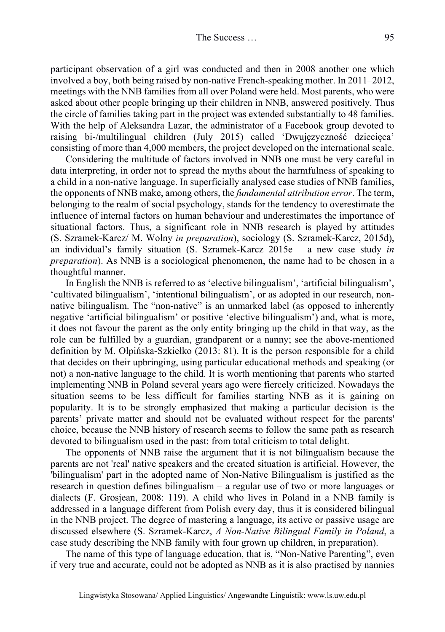participant observation of a girl was conducted and then in 2008 another one which involved a boy, both being raised by non-native French-speaking mother. In 2011–2012, meetings with the NNB families from all over Poland were held. Most parents, who were asked about other people bringing up their children in NNB, answered positively. Thus the circle of families taking part in the project was extended substantially to 48 families. With the help of Aleksandra Lazar, the administrator of a Facebook group devoted to raising bi-/multilingual children (July 2015) called 'Dwujęzyczność dziecięca' consisting of more than 4,000 members, the project developed on the international scale.

Considering the multitude of factors involved in NNB one must be very careful in data interpreting, in order not to spread the myths about the harmfulness of speaking to a child in a non-native language. In superficially analysed case studies of NNB families, the opponents of NNB make, among others, the *fundamental attribution error*. The term, belonging to the realm of social psychology, stands for the tendency to overestimate the influence of internal factors on human behaviour and underestimates the importance of situational factors. Thus, a significant role in NNB research is played by attitudes (S. Szramek-Karcz/ M. Wolny *in preparation*), sociology (S. Szramek-Karcz, 2015d), an individual's family situation (S. Szramek-Karcz 2015e – a new case study *in preparation*). As NNB is a sociological phenomenon, the name had to be chosen in a thoughtful manner.

In English the NNB is referred to as 'elective bilingualism', 'artificial bilingualism', 'cultivated bilingualism', 'intentional bilingualism', or as adopted in our research, nonnative bilingualism. The "non-native" is an unmarked label (as opposed to inherently negative 'artificial bilingualism' or positive 'elective bilingualism') and, what is more, it does not favour the parent as the only entity bringing up the child in that way, as the role can be fulfilled by a guardian, grandparent or a nanny; see the above-mentioned definition by M. Olpińska-Szkiełko (2013: 81). It is the person responsible for a child that decides on their upbringing, using particular educational methods and speaking (or not) a non-native language to the child. It is worth mentioning that parents who started implementing NNB in Poland several years ago were fiercely criticized. Nowadays the situation seems to be less difficult for families starting NNB as it is gaining on popularity. It is to be strongly emphasized that making a particular decision is the parents' private matter and should not be evaluated without respect for the parents' choice, because the NNB history of research seems to follow the same path as research devoted to bilingualism used in the past: from total criticism to total delight.

The opponents of NNB raise the argument that it is not bilingualism because the parents are not 'real' native speakers and the created situation is artificial. However, the 'bilingualism' part in the adopted name of Non-Native Bilingualism is justified as the research in question defines bilingualism – a regular use of two or more languages or dialects (F. Grosjean, 2008: 119). A child who lives in Poland in a NNB family is addressed in a language different from Polish every day, thus it is considered bilingual in the NNB project. The degree of mastering a language, its active or passive usage are discussed elsewhere (S. Szramek-Karcz, *A Non-Native Bilingual Family in Poland*, a case study describing the NNB family with four grown up children, in preparation).

The name of this type of language education, that is, "Non-Native Parenting", even if very true and accurate, could not be adopted as NNB as it is also practised by nannies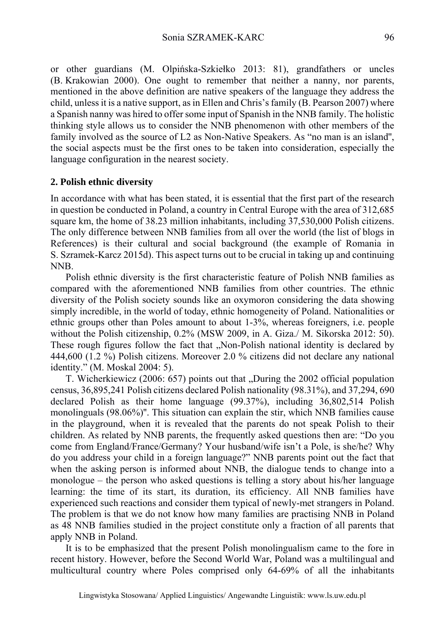or other guardians (M. Olpińska-Szkiełko 2013: 81), grandfathers or uncles (B. Krakowian 2000). One ought to remember that neither a nanny, nor parents, mentioned in the above definition are native speakers of the language they address the child, unless it is a native support, as in Ellen and Chris's family (B. Pearson 2007) where a Spanish nanny was hired to offer some input of Spanish in the NNB family. The holistic thinking style allows us to consider the NNB phenomenon with other members of the family involved as the source of L2 as Non-Native Speakers. As "no man is an island'', the social aspects must be the first ones to be taken into consideration, especially the language configuration in the nearest society.

#### **2. Polish ethnic diversity**

In accordance with what has been stated, it is essential that the first part of the research in question be conducted in Poland, a country in Central Europe with the area of 312,685 square km, the home of 38.23 million inhabitants, including 37,530,000 Polish citizens. The only difference between NNB families from all over the world (the list of blogs in References) is their cultural and social background (the example of Romania in S. Szramek-Karcz 2015d). This aspect turns out to be crucial in taking up and continuing NNB.

Polish ethnic diversity is the first characteristic feature of Polish NNB families as compared with the aforementioned NNB families from other countries. The ethnic diversity of the Polish society sounds like an oxymoron considering the data showing simply incredible, in the world of today, ethnic homogeneity of Poland. Nationalities or ethnic groups other than Poles amount to about 1-3%, whereas foreigners, i.e. people without the Polish citizenship, 0.2% (MSW 2009, in A. Giza./ M. Sikorska 2012: 50). These rough figures follow the fact that ...Non-Polish national identity is declared by 444,600 (1.2 %) Polish citizens. Moreover 2.0 % citizens did not declare any national identity." (M. Moskal 2004: 5).

T. Wicherkiewicz (2006: 657) points out that "During the 2002 official population census, 36,895,241 Polish citizens declared Polish nationality (98.31%), and 37,294, 690 declared Polish as their home language (99.37%), including 36,802,514 Polish monolinguals (98.06%)''. This situation can explain the stir, which NNB families cause in the playground, when it is revealed that the parents do not speak Polish to their children. As related by NNB parents, the frequently asked questions then are: "Do you come from England/France/Germany? Your husband/wife isn't a Pole, is she/he? Why do you address your child in a foreign language?" NNB parents point out the fact that when the asking person is informed about NNB, the dialogue tends to change into a monologue – the person who asked questions is telling a story about his/her language learning: the time of its start, its duration, its efficiency. All NNB families have experienced such reactions and consider them typical of newly-met strangers in Poland. The problem is that we do not know how many families are practising NNB in Poland as 48 NNB families studied in the project constitute only a fraction of all parents that apply NNB in Poland.

It is to be emphasized that the present Polish monolingualism came to the fore in recent history. However, before the Second World War, Poland was a multilingual and multicultural country where Poles comprised only 64-69% of all the inhabitants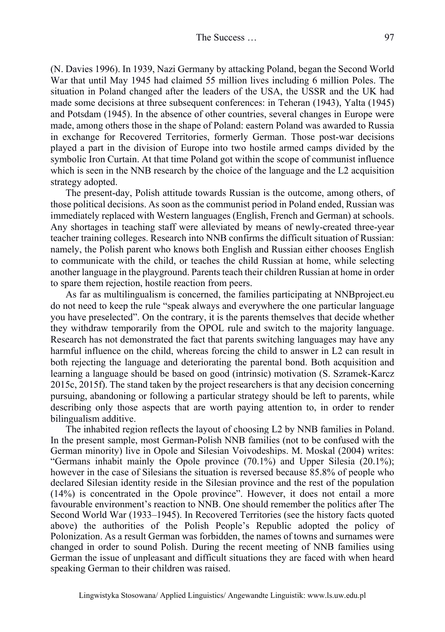(N. Davies 1996). In 1939, Nazi Germany by attacking Poland, began the Second World War that until May 1945 had claimed 55 million lives including 6 million Poles. The situation in Poland changed after the leaders of the USA, the USSR and the UK had made some decisions at three subsequent conferences: in Teheran (1943), Yalta (1945) and Potsdam (1945). In the absence of other countries, several changes in Europe were made, among others those in the shape of Poland: eastern Poland was awarded to Russia in exchange for Recovered Territories, formerly German. Those post-war decisions played a part in the division of Europe into two hostile armed camps divided by the symbolic Iron Curtain. At that time Poland got within the scope of communist influence which is seen in the NNB research by the choice of the language and the L2 acquisition strategy adopted.

The present-day, Polish attitude towards Russian is the outcome, among others, of those political decisions. As soon as the communist period in Poland ended, Russian was immediately replaced with Western languages (English, French and German) at schools. Any shortages in teaching staff were alleviated by means of newly-created three-year teacher training colleges. Research into NNB confirms the difficult situation of Russian: namely, the Polish parent who knows both English and Russian either chooses English to communicate with the child, or teaches the child Russian at home, while selecting another language in the playground. Parents teach their children Russian at home in order to spare them rejection, hostile reaction from peers.

As far as multilingualism is concerned, the families participating at NNBproject.eu do not need to keep the rule "speak always and everywhere the one particular language you have preselected". On the contrary, it is the parents themselves that decide whether they withdraw temporarily from the OPOL rule and switch to the majority language. Research has not demonstrated the fact that parents switching languages may have any harmful influence on the child, whereas forcing the child to answer in L2 can result in both rejecting the language and deteriorating the parental bond. Both acquisition and learning a language should be based on good (intrinsic) motivation (S. Szramek-Karcz 2015c, 2015f). The stand taken by the project researchers is that any decision concerning pursuing, abandoning or following a particular strategy should be left to parents, while describing only those aspects that are worth paying attention to, in order to render bilingualism additive.

The inhabited region reflects the layout of choosing L2 by NNB families in Poland. In the present sample, most German-Polish NNB families (not to be confused with the German minority) live in Opole and Silesian Voivodeships. M. Moskal (2004) writes: "Germans inhabit mainly the Opole province (70.1%) and Upper Silesia (20.1%); however in the case of Silesians the situation is reversed because 85.8% of people who declared Silesian identity reside in the Silesian province and the rest of the population (14%) is concentrated in the Opole province". However, it does not entail a more favourable environment's reaction to NNB. One should remember the politics after The Second World War (1933–1945). In Recovered Territories (see the history facts quoted above) the authorities of the Polish People's Republic adopted the policy of Polonization. As a result German was forbidden, the names of towns and surnames were changed in order to sound Polish. During the recent meeting of NNB families using German the issue of unpleasant and difficult situations they are faced with when heard speaking German to their children was raised.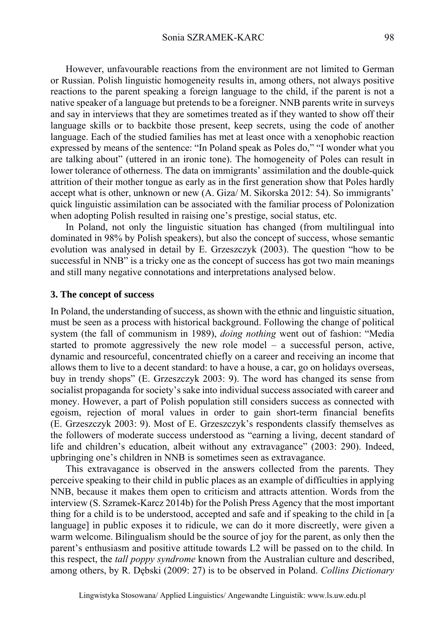However, unfavourable reactions from the environment are not limited to German or Russian. Polish linguistic homogeneity results in, among others, not always positive reactions to the parent speaking a foreign language to the child, if the parent is not a native speaker of a language but pretends to be a foreigner. NNB parents write in surveys and say in interviews that they are sometimes treated as if they wanted to show off their language skills or to backbite those present, keep secrets, using the code of another language. Each of the studied families has met at least once with a xenophobic reaction expressed by means of the sentence: "In Poland speak as Poles do," "I wonder what you are talking about" (uttered in an ironic tone). The homogeneity of Poles can result in lower tolerance of otherness. The data on immigrants' assimilation and the double-quick attrition of their mother tongue as early as in the first generation show that Poles hardly accept what is other, unknown or new (A. Giza/ M. Sikorska 2012: 54). So immigrants' quick linguistic assimilation can be associated with the familiar process of Polonization when adopting Polish resulted in raising one's prestige, social status, etc.

In Poland, not only the linguistic situation has changed (from multilingual into dominated in 98% by Polish speakers), but also the concept of success, whose semantic evolution was analysed in detail by E. Grzeszczyk (2003). The question "how to be successful in NNB" is a tricky one as the concept of success has got two main meanings and still many negative connotations and interpretations analysed below.

#### **3. The concept of success**

In Poland, the understanding of success, as shown with the ethnic and linguistic situation, must be seen as a process with historical background. Following the change of political system (the fall of communism in 1989), *doing nothing* went out of fashion: "Media started to promote aggressively the new role model – a successful person, active, dynamic and resourceful, concentrated chiefly on a career and receiving an income that allows them to live to a decent standard: to have a house, a car, go on holidays overseas, buy in trendy shops" (E. Grzeszczyk 2003: 9). The word has changed its sense from socialist propaganda for society's sake into individual success associated with career and money. However, a part of Polish population still considers success as connected with egoism, rejection of moral values in order to gain short-term financial benefits (E. Grzeszczyk 2003: 9). Most of E. Grzeszczyk's respondents classify themselves as the followers of moderate success understood as "earning a living, decent standard of life and children's education, albeit without any extravagance" (2003: 290). Indeed, upbringing one's children in NNB is sometimes seen as extravagance.

This extravagance is observed in the answers collected from the parents. They perceive speaking to their child in public places as an example of difficulties in applying NNB, because it makes them open to criticism and attracts attention. Words from the interview (S. Szramek-Karcz 2014b) for the Polish Press Agency that the most important thing for a child is to be understood, accepted and safe and if speaking to the child in [a language] in public exposes it to ridicule, we can do it more discreetly, were given a warm welcome. Bilingualism should be the source of joy for the parent, as only then the parent's enthusiasm and positive attitude towards L2 will be passed on to the child. In this respect, the *tall poppy syndrome* known from the Australian culture and described, among others, by R. Dębski (2009: 27) is to be observed in Poland. *Collins Dictionary*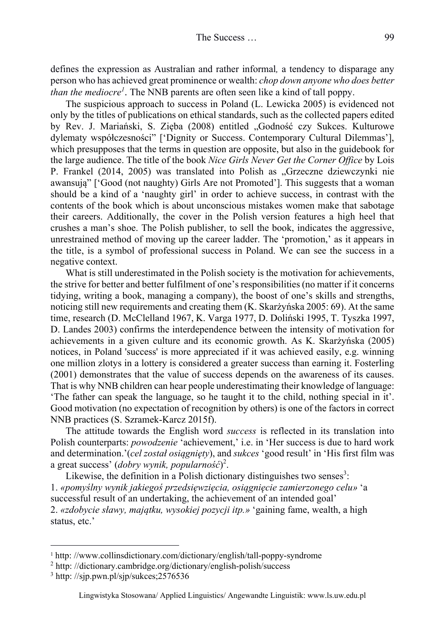defines the expression as Australian and rather informal*,* a tendency to disparage any person who has achieved great prominence or wealth: *chop down anyone who does better than the mediocre<sup>1</sup>* . The NNB parents are often seen like a kind of tall poppy.

The suspicious approach to success in Poland (L. Lewicka 2005) is evidenced not only by the titles of publications on ethical standards, such as the collected papers edited by Rev. J. Mariański, S. Zięba (2008) entitled "Godność czy Sukces. Kulturowe dylematy współczesności" ['Dignity or Success. Contemporary Cultural Dilemmas'], which presupposes that the terms in question are opposite, but also in the guidebook for the large audience. The title of the book *Nice Girls Never Get the Corner Office* by Lois P. Frankel (2014, 2005) was translated into Polish as "Grzeczne dziewczynki nie awansują" ['Good (not naughty) Girls Are not Promoted']. This suggests that a woman should be a kind of a 'naughty girl' in order to achieve success, in contrast with the contents of the book which is about unconscious mistakes women make that sabotage their careers. Additionally, the cover in the Polish version features a high heel that crushes a man's shoe. The Polish publisher, to sell the book, indicates the aggressive, unrestrained method of moving up the career ladder. The 'promotion,' as it appears in the title, is a symbol of professional success in Poland. We can see the success in a negative context.

What is still underestimated in the Polish society is the motivation for achievements, the strive for better and better fulfilment of one's responsibilities (no matter if it concerns tidying, writing a book, managing a company), the boost of one's skills and strengths, noticing still new requirements and creating them (K. Skarżyńska 2005: 69). At the same time, research (D. McClelland 1967, K. Varga 1977, D. Doliński 1995, T. Tyszka 1997, D. Landes 2003) confirms the interdependence between the intensity of motivation for achievements in a given culture and its economic growth. As K. Skarżyńska (2005) notices, in Poland 'success' is more appreciated if it was achieved easily, e.g. winning one million zlotys in a lottery is considered a greater success than earning it. Fosterling (2001) demonstrates that the value of success depends on the awareness of its causes. That is why NNB children can hear people underestimating their knowledge of language: 'The father can speak the language, so he taught it to the child, nothing special in it'. Good motivation (no expectation of recognition by others) is one of the factors in correct NNB practices (S. Szramek-Karcz 2015f).

The attitude towards the English word *success* is reflected in its translation into Polish counterparts: *powodzenie* 'achievement,' i.e. in 'Her success is due to hard work and determination.'(*cel został osiągnięty*), and *sukces* 'good result' in 'His first film was a great success' (*dobry wynik, popularność*) 2 .

Likewise, the definition in a Polish dictionary distinguishes two senses<sup>3</sup>: 1. *«pomyślny wynik jakiegoś przedsięwzięcia, osiągnięcie zamierzonego celu»* 'a successful result of an undertaking, the achievement of an intended goal' 2. *«zdobycie sławy, majątku, wysokiej pozycji itp.»* 'gaining fame, wealth, a high status, etc.'

 $\overline{a}$ 

<sup>&</sup>lt;sup>1</sup> http://www.collinsdictionary.com/dictionary/english/tall-poppy-syndrome

<sup>&</sup>lt;sup>2</sup> http://dictionary.cambridge.org/dictionary/english-polish/success

 $3$  http: //sjp.pwn.pl/sjp/sukces;2576536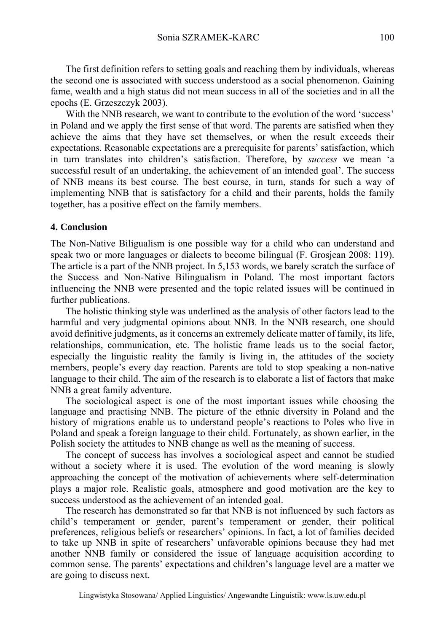The first definition refers to setting goals and reaching them by individuals, whereas the second one is associated with success understood as a social phenomenon. Gaining fame, wealth and a high status did not mean success in all of the societies and in all the epochs (E. Grzeszczyk 2003).

With the NNB research, we want to contribute to the evolution of the word 'success' in Poland and we apply the first sense of that word. The parents are satisfied when they achieve the aims that they have set themselves, or when the result exceeds their expectations. Reasonable expectations are a prerequisite for parents' satisfaction, which in turn translates into children's satisfaction. Therefore, by *success* we mean 'a successful result of an undertaking, the achievement of an intended goal'. The success of NNB means its best course. The best course, in turn, stands for such a way of implementing NNB that is satisfactory for a child and their parents, holds the family together, has a positive effect on the family members.

#### **4. Conclusion**

The Non-Native Biligualism is one possible way for a child who can understand and speak two or more languages or dialects to become bilingual (F. Grosjean 2008: 119). The article is a part of the NNB project. In 5,153 words, we barely scratch the surface of the Success and Non-Native Bilingualism in Poland. The most important factors influencing the NNB were presented and the topic related issues will be continued in further publications.

The holistic thinking style was underlined as the analysis of other factors lead to the harmful and very judgmental opinions about NNB. In the NNB research, one should avoid definitive judgments, as it concerns an extremely delicate matter of family, its life, relationships, communication, etc. The holistic frame leads us to the social factor, especially the linguistic reality the family is living in, the attitudes of the society members, people's every day reaction. Parents are told to stop speaking a non-native language to their child. The aim of the research is to elaborate a list of factors that make NNB a great family adventure.

The sociological aspect is one of the most important issues while choosing the language and practising NNB. The picture of the ethnic diversity in Poland and the history of migrations enable us to understand people's reactions to Poles who live in Poland and speak a foreign language to their child. Fortunately, as shown earlier, in the Polish society the attitudes to NNB change as well as the meaning of success.

The concept of success has involves a sociological aspect and cannot be studied without a society where it is used. The evolution of the word meaning is slowly approaching the concept of the motivation of achievements where self-determination plays a major role. Realistic goals, atmosphere and good motivation are the key to success understood as the achievement of an intended goal.

The research has demonstrated so far that NNB is not influenced by such factors as child's temperament or gender, parent's temperament or gender, their political preferences, religious beliefs or researchers' opinions. In fact, a lot of families decided to take up NNB in spite of researchers' unfavorable opinions because they had met another NNB family or considered the issue of language acquisition according to common sense. The parents' expectations and children's language level are a matter we are going to discuss next.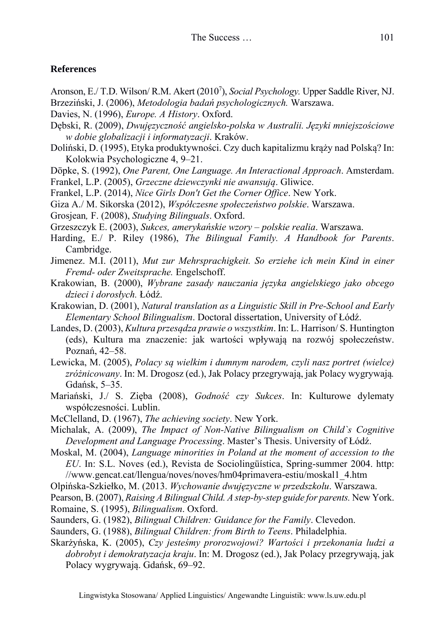## **References**

- Aronson, E./ T.D. Wilson/ R.M. Akert (2010<sup>7</sup>), *Social Psychology*. Upper Saddle River, NJ.
- Brzeziński, J. (2006), *Metodologia badań psychologicznych.* Warszawa.
- Davies, N. (1996), *Europe. A History*. Oxford.
- Dębski, R. (2009), *Dwujęzyczność angielsko-polska w Australii. Języki mniejszościowe w dobie globalizacji i informatyzacji*. Kraków.
- Doliński, D. (1995), Etyka produktywności. Czy duch kapitalizmu krąży nad Polską? In: Kolokwia Psychologiczne 4, 9–21.
- Döpke, S. (1992), *One Parent, One Language. An Interactional Approach*. Amsterdam.
- Frankel, L.P. (2005), *Grzeczne dziewczynki nie awansują*. Gliwice.
- Frankel, L.P. (2014), *Nice Girls Don't Get the Corner Office*. New York.
- Giza A./ M. Sikorska (2012), *Współczesne społeczeństwo polskie*. Warszawa.
- Grosjean*,* F. (2008), *Studying Bilinguals*. Oxford.
- Grzeszczyk E. (2003), *Sukces, amerykańskie wzory polskie realia*. Warszawa.
- Harding, E./ P. Riley (1986), *The Bilingual Family. A Handbook for Parents*. Cambridge.
- Jimenez. M.I. (2011), *Mut zur Mehrsprachigkeit. So erziehe ich mein Kind in einer Fremd- oder Zweitsprache.* Engelschoff.
- Krakowian, B. (2000), *Wybrane zasady nauczania języka angielskiego jako obcego dzieci i dorosłych.* Łódź.
- Krakowian, D. (2001), *Natural translation as a Linguistic Skill in Pre-School and Early Elementary School Bilingualism*. Doctoral dissertation, University of Łódź.
- Landes, D. (2003), *Kultura przesądza prawie o wszystkim*. In: L. Harrison/ S. Huntington (eds), Kultura ma znaczenie: jak wartości wpływają na rozwój społeczeństw. Poznań, 42–58.
- Lewicka, M. (2005), *Polacy są wielkim i dumnym narodem, czyli nasz portret (wielce) zróżnicowany*. In: M. Drogosz (ed.), Jak Polacy przegrywają, jak Polacy wygrywają*.*  Gdańsk, 5–35.
- Mariański, J./ S. Zięba (2008), *Godność czy Sukces*. In: Kulturowe dylematy współczesności. Lublin.
- McClelland, D. (1967), *The achieving society*. New York.
- Michalak, A. (2009), *The Impact of Non-Native Bilingualism on Child`s Cognitive Development and Language Processing*. Master's Thesis. University of Łódź.
- Moskal, M. (2004), *Language minorities in Poland at the moment of accession to the EU*. In: S.L. Noves (ed.), Revista de Sociolingüística, Spring-summer 2004. http: //www.gencat.cat/llengua/noves/noves/hm04primavera-estiu/moskal1\_4.htm
- Olpińska-Szkiełko, M. (2013. *Wychowanie dwujęzyczne w przedszkolu*. Warszawa.
- Pearson, B. (2007), *Raising A Bilingual Child. A step-by-step guide for parents.* New York. Romaine, S. (1995), *Bilingualism*. Oxford.
- Saunders, G. (1982), *Bilingual Children: Guidance for the Family*. Clevedon.
- Saunders, G. (1988), *Bilingual Children: from Birth to Teens*. Philadelphia.
- Skarżyńska, K. (2005), *Czy jesteśmy prorozwojowi? Wartości i przekonania ludzi a dobrobyt i demokratyzacja kraju*. In: M. Drogosz (ed.), Jak Polacy przegrywają, jak Polacy wygrywają. Gdańsk, 69–92.

Lingwistyka Stosowana/ Applied Linguistics/ Angewandte Linguistik: www.ls.uw.edu.pl